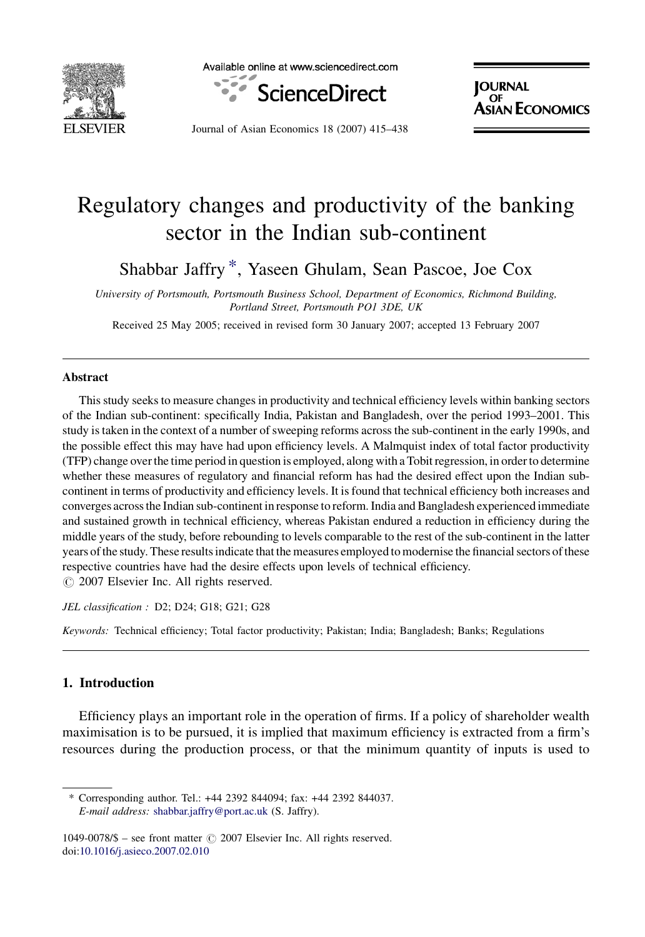

Available online at www.sciencedirect.com



**IOURNAL** OF SIAN ECONOMICS

Journal of Asian Economics 18 (2007) 415–438

# Regulatory changes and productivity of the banking sector in the Indian sub-continent

Shabbar Jaffry \*, Yaseen Ghulam, Sean Pascoe, Joe Cox

University of Portsmouth, Portsmouth Business School, Department of Economics, Richmond Building, Portland Street, Portsmouth PO1 3DE, UK

Received 25 May 2005; received in revised form 30 January 2007; accepted 13 February 2007

#### Abstract

This study seeks to measure changes in productivity and technical efficiency levels within banking sectors of the Indian sub-continent: specifically India, Pakistan and Bangladesh, over the period 1993–2001. This study is taken in the context of a number of sweeping reforms across the sub-continent in the early 1990s, and the possible effect this may have had upon efficiency levels. A Malmquist index of total factor productivity (TFP) change over the time period in question is employed, along with a Tobit regression, in order to determine whether these measures of regulatory and financial reform has had the desired effect upon the Indian subcontinent in terms of productivity and efficiency levels. It is found that technical efficiency both increases and converges across the Indian sub-continent in response to reform. India and Bangladesh experienced immediate and sustained growth in technical efficiency, whereas Pakistan endured a reduction in efficiency during the middle years of the study, before rebounding to levels comparable to the rest of the sub-continent in the latter years of the study. These results indicate that the measures employed to modernise the financial sectors of these respective countries have had the desire effects upon levels of technical efficiency.  $\odot$  2007 Elsevier Inc. All rights reserved.

JEL classification : D2; D24; G18; G21; G28

Keywords: Technical efficiency; Total factor productivity; Pakistan; India; Bangladesh; Banks; Regulations

### 1. Introduction

Efficiency plays an important role in the operation of firms. If a policy of shareholder wealth maximisation is to be pursued, it is implied that maximum efficiency is extracted from a firm's resources during the production process, or that the minimum quantity of inputs is used to

<sup>\*</sup> Corresponding author. Tel.: +44 2392 844094; fax: +44 2392 844037. E-mail address: [shabbar.jaffry@port.ac.uk](mailto:shabbar.jaffry@port.ac.uk) (S. Jaffry).

<sup>1049-0078/\$ –</sup> see front matter  $\odot$  2007 Elsevier Inc. All rights reserved. doi:[10.1016/j.asieco.2007.02.010](http://dx.doi.org/10.1016/j.asieco.2007.02.010)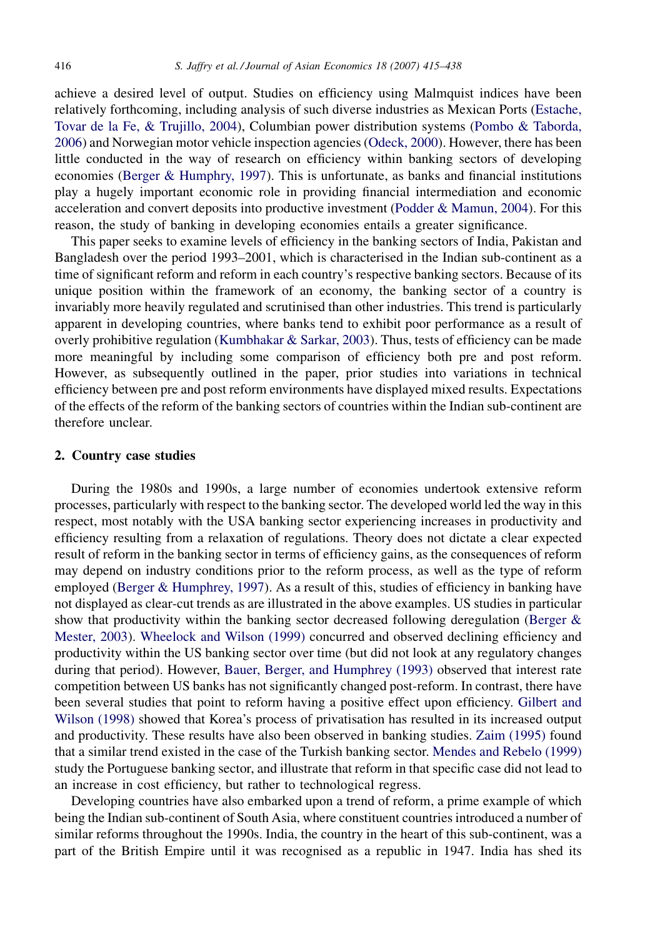achieve a desired level of output. Studies on efficiency using Malmquist indices have been relatively forthcoming, including analysis of such diverse industries as Mexican Ports ([Estache,](#page--1-0) [Tovar de la Fe, & Trujillo, 2004](#page--1-0)), Columbian power distribution systems [\(Pombo & Taborda,](#page--1-0) [2006\)](#page--1-0) and Norwegian motor vehicle inspection agencies [\(Odeck, 2000\)](#page--1-0). However, there has been little conducted in the way of research on efficiency within banking sectors of developing economies ([Berger & Humphry, 1997](#page--1-0)). This is unfortunate, as banks and financial institutions play a hugely important economic role in providing financial intermediation and economic acceleration and convert deposits into productive investment ([Podder & Mamun, 2004](#page--1-0)). For this reason, the study of banking in developing economies entails a greater significance.

This paper seeks to examine levels of efficiency in the banking sectors of India, Pakistan and Bangladesh over the period 1993–2001, which is characterised in the Indian sub-continent as a time of significant reform and reform in each country's respective banking sectors. Because of its unique position within the framework of an economy, the banking sector of a country is invariably more heavily regulated and scrutinised than other industries. This trend is particularly apparent in developing countries, where banks tend to exhibit poor performance as a result of overly prohibitive regulation ([Kumbhakar & Sarkar, 2003](#page--1-0)). Thus, tests of efficiency can be made more meaningful by including some comparison of efficiency both pre and post reform. However, as subsequently outlined in the paper, prior studies into variations in technical efficiency between pre and post reform environments have displayed mixed results. Expectations of the effects of the reform of the banking sectors of countries within the Indian sub-continent are therefore unclear.

### 2. Country case studies

During the 1980s and 1990s, a large number of economies undertook extensive reform processes, particularly with respect to the banking sector. The developed world led the way in this respect, most notably with the USA banking sector experiencing increases in productivity and efficiency resulting from a relaxation of regulations. Theory does not dictate a clear expected result of reform in the banking sector in terms of efficiency gains, as the consequences of reform may depend on industry conditions prior to the reform process, as well as the type of reform employed [\(Berger & Humphrey, 1997\)](#page--1-0). As a result of this, studies of efficiency in banking have not displayed as clear-cut trends as are illustrated in the above examples. US studies in particular show that productivity within the banking sector decreased following deregulation (Berger  $\&$ [Mester, 2003\)](#page--1-0). [Wheelock and Wilson \(1999\)](#page--1-0) concurred and observed declining efficiency and productivity within the US banking sector over time (but did not look at any regulatory changes during that period). However, [Bauer, Berger, and Humphrey \(1993\)](#page--1-0) observed that interest rate competition between US banks has not significantly changed post-reform. In contrast, there have been several studies that point to reform having a positive effect upon efficiency. [Gilbert and](#page--1-0) [Wilson \(1998\)](#page--1-0) showed that Korea's process of privatisation has resulted in its increased output and productivity. These results have also been observed in banking studies. [Zaim \(1995\)](#page--1-0) found that a similar trend existed in the case of the Turkish banking sector. [Mendes and Rebelo \(1999\)](#page--1-0) study the Portuguese banking sector, and illustrate that reform in that specific case did not lead to an increase in cost efficiency, but rather to technological regress.

Developing countries have also embarked upon a trend of reform, a prime example of which being the Indian sub-continent of South Asia, where constituent countries introduced a number of similar reforms throughout the 1990s. India, the country in the heart of this sub-continent, was a part of the British Empire until it was recognised as a republic in 1947. India has shed its